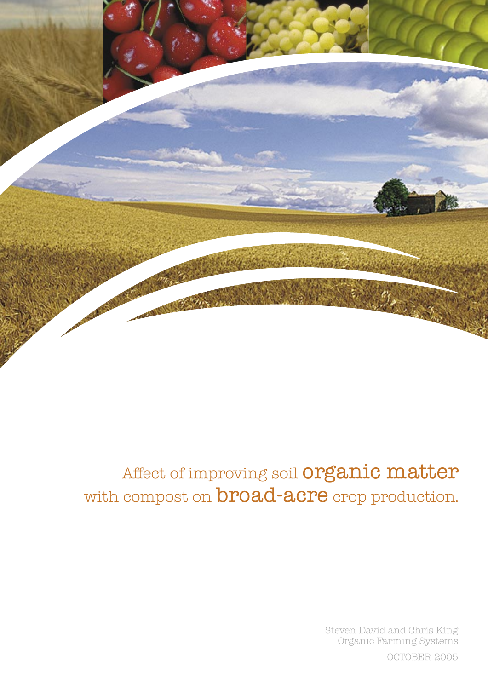

# Affect of improving soil **organic matter** with compost on **broad-acre** crop production.

Steven David and Chris King Organic Farming Systems

OCTOBER 2005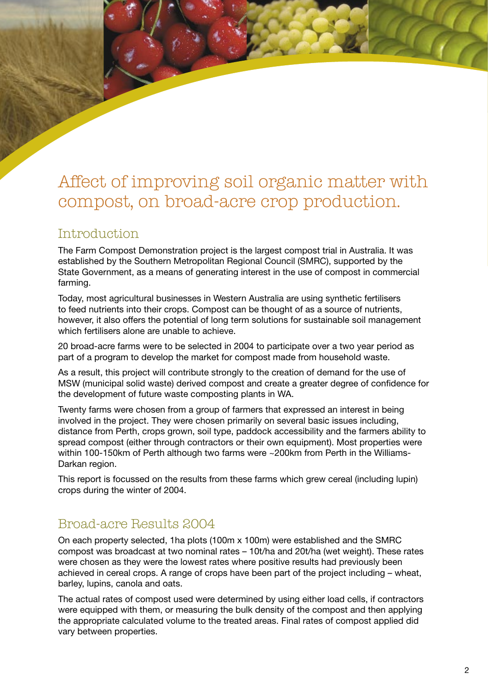# Affect of improving soil organic matter with compost, on broad-acre crop production.

# Introduction

The Farm Compost Demonstration project is the largest compost trial in Australia. It was established by the Southern Metropolitan Regional Council (SMRC), supported by the State Government, as a means of generating interest in the use of compost in commercial farming.

Today, most agricultural businesses in Western Australia are using synthetic fertilisers to feed nutrients into their crops. Compost can be thought of as a source of nutrients, however, it also offers the potential of long term solutions for sustainable soil management which fertilisers alone are unable to achieve.

20 broad-acre farms were to be selected in 2004 to participate over a two year period as part of a program to develop the market for compost made from household waste.

As a result, this project will contribute strongly to the creation of demand for the use of MSW (municipal solid waste) derived compost and create a greater degree of confidence for the development of future waste composting plants in WA.

Twenty farms were chosen from a group of farmers that expressed an interest in being involved in the project. They were chosen primarily on several basic issues including, distance from Perth, crops grown, soil type, paddock accessibility and the farmers ability to spread compost (either through contractors or their own equipment). Most properties were within 100-150km of Perth although two farms were ~200km from Perth in the Williams-Darkan region.

This report is focussed on the results from these farms which grew cereal (including lupin) crops during the winter of 2004.

# Broad-acre Results 2004

On each property selected, 1ha plots (100m x 100m) were established and the SMRC compost was broadcast at two nominal rates – 10t/ha and 20t/ha (wet weight). These rates were chosen as they were the lowest rates where positive results had previously been achieved in cereal crops. A range of crops have been part of the project including – wheat, barley, lupins, canola and oats.

The actual rates of compost used were determined by using either load cells, if contractors were equipped with them, or measuring the bulk density of the compost and then applying the appropriate calculated volume to the treated areas. Final rates of compost applied did vary between properties.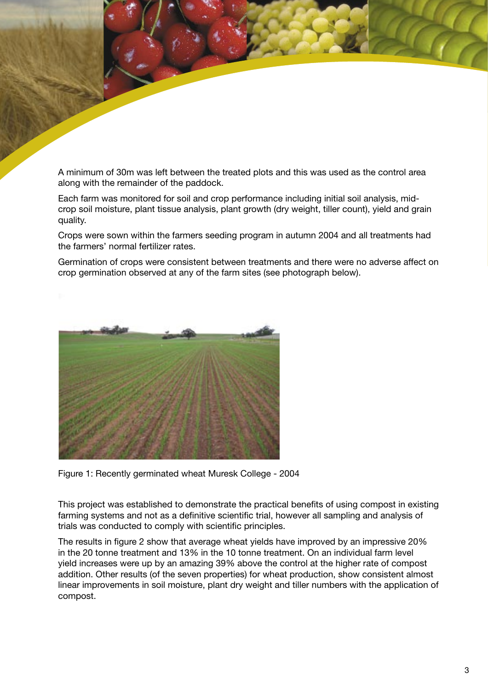A minimum of 30m was left between the treated plots and this was used as the control area along with the remainder of the paddock.

Each farm was monitored for soil and crop performance including initial soil analysis, midcrop soil moisture, plant tissue analysis, plant growth (dry weight, tiller count), yield and grain quality.

Crops were sown within the farmers seeding program in autumn 2004 and all treatments had the farmers' normal fertilizer rates.

Germination of crops were consistent between treatments and there were no adverse affect on crop germination observed at any of the farm sites (see photograph below).



Figure 1: Recently germinated wheat Muresk College - 2004

This project was established to demonstrate the practical benefits of using compost in existing farming systems and not as a definitive scientific trial, however all sampling and analysis of trials was conducted to comply with scientific principles.

The results in figure 2 show that average wheat yields have improved by an impressive 20% in the 20 tonne treatment and 13% in the 10 tonne treatment. On an individual farm level yield increases were up by an amazing 39% above the control at the higher rate of compost addition. Other results (of the seven properties) for wheat production, show consistent almost linear improvements in soil moisture, plant dry weight and tiller numbers with the application of compost.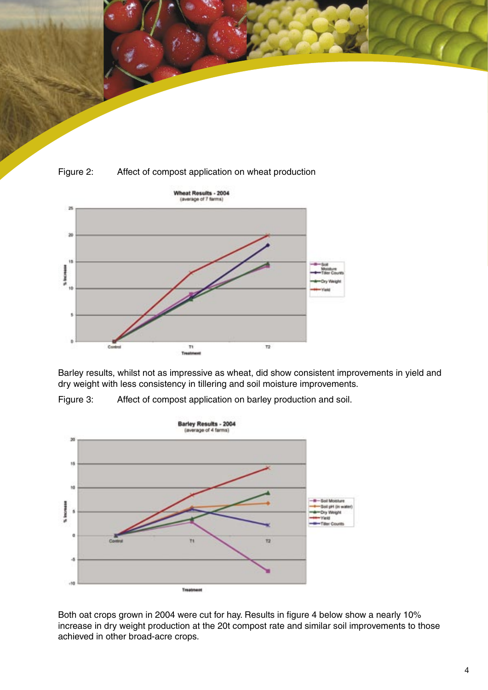



### Figure 2: Affect of compost application on wheat production



Barley results, whilst not as impressive as wheat, did show consistent improvements in yield and dry weight with less consistency in tillering and soil moisture improvements.



Figure 3: Affect of compost application on barley production and soil.

Both oat crops grown in 2004 were cut for hay. Results in figure 4 below show a nearly 10% increase in dry weight production at the 20t compost rate and similar soil improvements to those achieved in other broad-acre crops.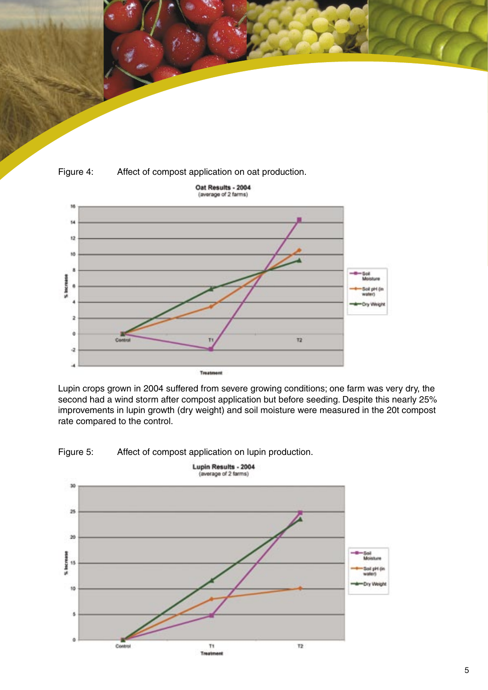



Lupin crops grown in 2004 suffered from severe growing conditions; one farm was very dry, the second had a wind storm after compost application but before seeding. Despite this nearly 25% improvements in lupin growth (dry weight) and soil moisture were measured in the 20t compost rate compared to the control.



Figure 5: Affect of compost application on lupin production.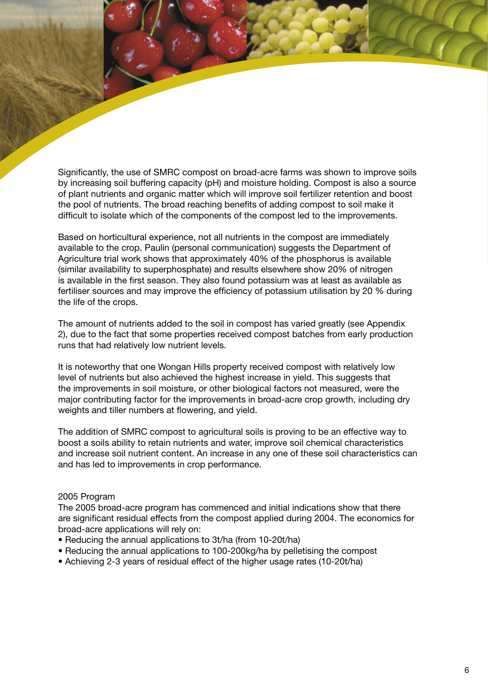Significantly, the use of SMRC compost on broad-acre farms was shown to improve soils by increasing soil buffering capacity (pH) and moisture holding. Compost is also a source of plant nutrients and organic matter which will improve soil fertilizer retention and boost the pool of nutrients. The broad reaching benefits of adding compost to soil make it difficult to isolate which of the components of the compost led to the improvements.

Based on horticultural experience, not all nutrients in the compost are immediately available to the crop. Paulin (personal communication) suggests the Department of Agriculture trial work shows that approximately 40% of the phosphorus is available (similar availability to superphosphate) and results elsewhere show 20% of nitrogen is available in the first season. They also found potassium was at least as available as fertiliser sources and may improve the efficiency of potassium utilisation by 20 % during the life of the crops.

The amount of nutrients added to the soil in compost has varied greatly (see Appendix 2), due to the fact that some properties received compost batches from early production runs that had relatively low nutrient levels.

It is noteworthy that one Wongan Hills property received compost with relatively low level of nutrients but also achieved the highest increase in yield. This suggests that the improvements in soil moisture, or other biological factors not measured, were the major contributing factor for the improvements in broad-acre crop growth, including dry weights and tiller numbers at flowering, and yield.

The addition of SMRC compost to agricultural soils is proving to be an effective way to boost a soils ability to retain nutrients and water, improve soil chemical characteristics and increase soil nutrient content. An increase in any one of these soil characteristics can and has led to improvements in crop performance.

#### 2005 Program

The 2005 broad-acre program has commenced and initial indications show that there are significant residual effects from the compost applied during 2004. The economics for broad-acre applications will rely on:

- Reducing the annual applications to 3t/ha (from 10-20t/ha)
- Reducing the annual applications to 100-200kg/ha by pelletising the compost
- Achieving 2-3 years of residual effect of the higher usage rates (10-20t/ha)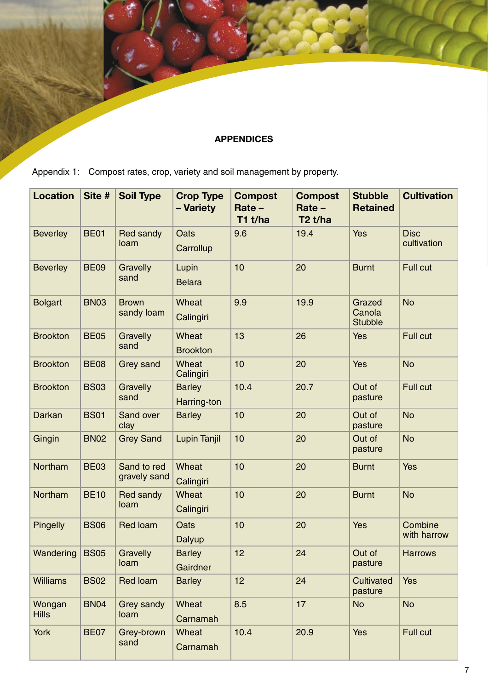# **APPENDICES**

Appendix 1: Compost rates, crop, variety and soil management by property.

| <b>Location</b>        | Site #      | <b>Soil Type</b>            | <b>Crop Type</b><br>- Variety | <b>Compost</b><br>Rate -<br>T1 t/ha | <b>Compost</b><br>$Rate -$<br>$T2$ t/ha | <b>Stubble</b><br><b>Retained</b>  | <b>Cultivation</b>         |
|------------------------|-------------|-----------------------------|-------------------------------|-------------------------------------|-----------------------------------------|------------------------------------|----------------------------|
| <b>Beverley</b>        | <b>BE01</b> | <b>Red sandy</b><br>loam    | <b>Oats</b><br>Carrollup      | 9.6                                 | 19.4                                    | <b>Yes</b>                         | <b>Disc</b><br>cultivation |
| <b>Beverley</b>        | <b>BE09</b> | Gravelly<br>sand            | Lupin<br><b>Belara</b>        | 10                                  | 20                                      | <b>Burnt</b>                       | Full cut                   |
| <b>Bolgart</b>         | <b>BN03</b> | <b>Brown</b><br>sandy loam  | Wheat<br>Calingiri            | 9.9                                 | 19.9                                    | Grazed<br>Canola<br><b>Stubble</b> | <b>No</b>                  |
| <b>Brookton</b>        | <b>BE05</b> | Gravelly<br>sand            | Wheat<br><b>Brookton</b>      | 13                                  | 26                                      | <b>Yes</b>                         | Full cut                   |
| <b>Brookton</b>        | <b>BE08</b> | Grey sand                   | Wheat<br>Calingiri            | 10                                  | 20                                      | <b>Yes</b>                         | <b>No</b>                  |
| <b>Brookton</b>        | <b>BS03</b> | Gravelly<br>sand            | <b>Barley</b><br>Harring-ton  | 10.4                                | 20.7                                    | Out of<br>pasture                  | Full cut                   |
| Darkan                 | <b>BS01</b> | Sand over<br>clay           | <b>Barley</b>                 | 10                                  | 20                                      | Out of<br>pasture                  | <b>No</b>                  |
| Gingin                 | <b>BN02</b> | <b>Grey Sand</b>            | <b>Lupin Tanjil</b>           | 10                                  | 20                                      | Out of<br>pasture                  | <b>No</b>                  |
| Northam                | <b>BE03</b> | Sand to red<br>gravely sand | Wheat<br>Calingiri            | 10                                  | 20                                      | <b>Burnt</b>                       | Yes                        |
| Northam                | <b>BE10</b> | Red sandy<br>loam           | Wheat<br>Calingiri            | 10                                  | 20                                      | <b>Burnt</b>                       | <b>No</b>                  |
| Pingelly               | <b>BS06</b> | <b>Red loam</b>             | Oats<br>Dalyup                | 10                                  | 20                                      | <b>Yes</b>                         | Combine<br>with harrow     |
| Wandering              | <b>BS05</b> | Gravelly<br>loam            | <b>Barley</b><br>Gairdner     | 12                                  | 24                                      | Out of<br>pasture                  | <b>Harrows</b>             |
| <b>Williams</b>        | <b>BS02</b> | <b>Red loam</b>             | <b>Barley</b>                 | 12                                  | 24                                      | Cultivated<br>pasture              | <b>Yes</b>                 |
| Wongan<br><b>Hills</b> | <b>BN04</b> | Grey sandy<br>loam          | Wheat<br>Carnamah             | 8.5                                 | 17                                      | <b>No</b>                          | <b>No</b>                  |
| York                   | <b>BE07</b> | Grey-brown<br>sand          | Wheat<br>Carnamah             | 10.4                                | 20.9                                    | <b>Yes</b>                         | Full cut                   |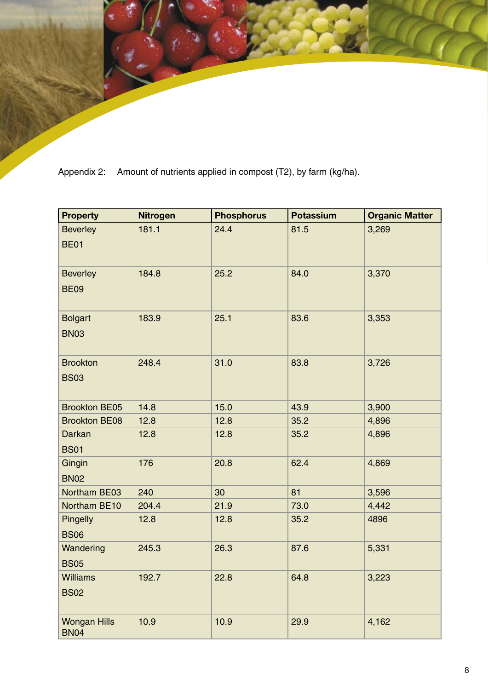Appendix 2: Amount of nutrients applied in compost (T2), by farm (kg/ha).

| <b>Property</b>                    | <b>Nitrogen</b> | <b>Phosphorus</b> | <b>Potassium</b> | <b>Organic Matter</b> |
|------------------------------------|-----------------|-------------------|------------------|-----------------------|
| <b>Beverley</b>                    | 181.1           | 24.4              | 81.5             | 3,269                 |
| <b>BE01</b>                        |                 |                   |                  |                       |
| <b>Beverley</b>                    | 184.8           | 25.2              | 84.0             | 3,370                 |
| <b>BE09</b>                        |                 |                   |                  |                       |
| <b>Bolgart</b>                     | 183.9           | 25.1              | 83.6             | 3,353                 |
| <b>BN03</b>                        |                 |                   |                  |                       |
| <b>Brookton</b>                    | 248.4           | 31.0              | 83.8             | 3,726                 |
| <b>BS03</b>                        |                 |                   |                  |                       |
| <b>Brookton BE05</b>               | 14.8            | 15.0              | 43.9             | 3,900                 |
| <b>Brookton BE08</b>               | 12.8            | 12.8              | 35.2             | 4,896                 |
| Darkan                             | 12.8            | 12.8              | 35.2             | 4,896                 |
| <b>BS01</b>                        |                 |                   |                  |                       |
| Gingin                             | 176             | 20.8              | 62.4             | 4,869                 |
| <b>BN02</b>                        |                 |                   |                  |                       |
| Northam BE03                       | 240             | 30                | 81               | 3,596                 |
| Northam BE10                       | 204.4           | 21.9              | 73.0             | 4,442                 |
| Pingelly                           | 12.8            | 12.8              | 35.2             | 4896                  |
| <b>BS06</b>                        |                 |                   |                  |                       |
| Wandering                          | 245.3           | 26.3              | 87.6             | 5,331                 |
| <b>BS05</b>                        |                 |                   |                  |                       |
| <b>Williams</b>                    | 192.7           | 22.8              | 64.8             | 3,223                 |
| <b>BS02</b>                        |                 |                   |                  |                       |
| <b>Wongan Hills</b><br><b>BN04</b> | 10.9            | 10.9              | 29.9             | 4,162                 |